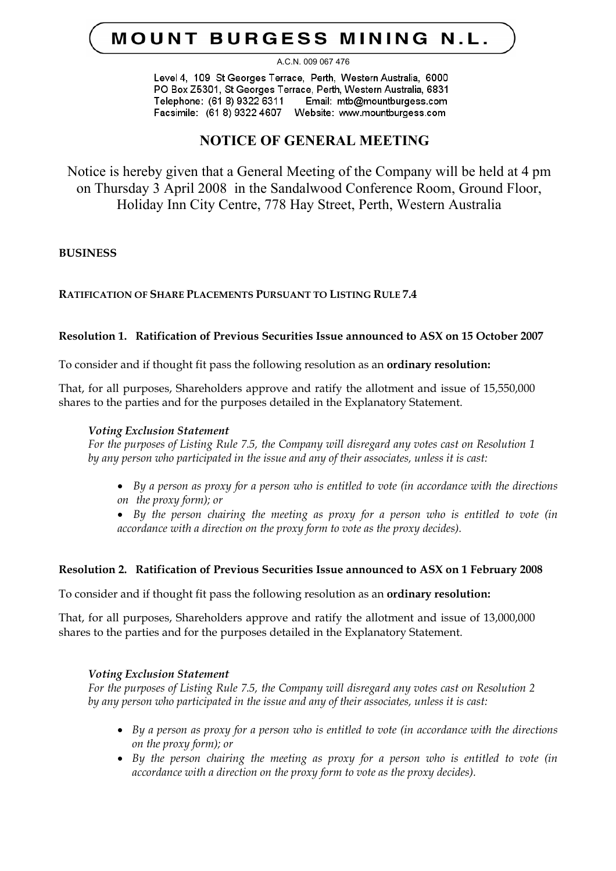# **MOUNT BURGESS MINING N.L.**

#### A.C.N. 009 067 476

Level 4, 109 St Georges Terrace, Perth, Western Australia, 6000 PO Box Z5301, St Georges Terrace, Perth, Western Australia, 6831 Telephone: (61 8) 9322 6311 Email: mtb@mountburgess.com Facsimile: (61 8) 9322 4607 Website: www.mountburgess.com

# **NOTICE OF GENERAL MEETING**

Notice is hereby given that a General Meeting of the Company will be held at 4 pm on Thursday 3 April 2008 in the Sandalwood Conference Room, Ground Floor, Holiday Inn City Centre, 778 Hay Street, Perth, Western Australia

# **BUSINESS**

# **RATIFICATION OF SHARE PLACEMENTS PURSUANT TO LISTING RULE 7.4**

# **Resolution 1. Ratification of Previous Securities Issue announced to ASX on 15 October 2007**

To consider and if thought fit pass the following resolution as an **ordinary resolution:**

That, for all purposes, Shareholders approve and ratify the allotment and issue of 15,550,000 shares to the parties and for the purposes detailed in the Explanatory Statement.

# *Voting Exclusion Statement*

*For the purposes of Listing Rule 7.5, the Company will disregard any votes cast on Resolution 1 by any person who participated in the issue and any of their associates, unless it is cast:*

• *By a person as proxy for a person who is entitled to vote (in accordance with the directions on the proxy form); or* 

• *By the person chairing the meeting as proxy for a person who is entitled to vote (in accordance with a direction on the proxy form to vote as the proxy decides).* 

# **Resolution 2. Ratification of Previous Securities Issue announced to ASX on 1 February 2008**

To consider and if thought fit pass the following resolution as an **ordinary resolution:**

That, for all purposes, Shareholders approve and ratify the allotment and issue of 13,000,000 shares to the parties and for the purposes detailed in the Explanatory Statement.

# *Voting Exclusion Statement*

*For the purposes of Listing Rule 7.5, the Company will disregard any votes cast on Resolution 2 by any person who participated in the issue and any of their associates, unless it is cast:*

- *By a person as proxy for a person who is entitled to vote (in accordance with the directions on the proxy form); or*
- *By the person chairing the meeting as proxy for a person who is entitled to vote (in accordance with a direction on the proxy form to vote as the proxy decides).*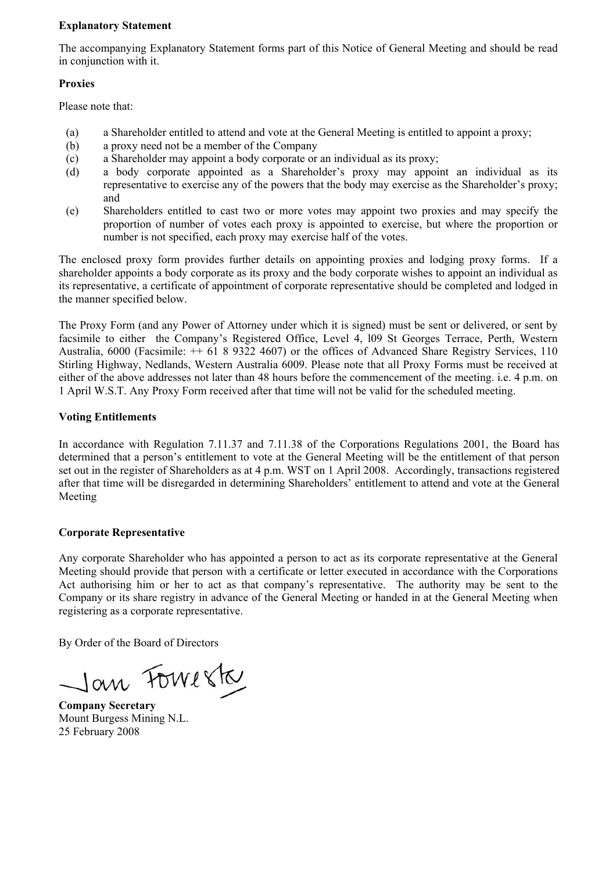#### **Explanatory Statement**

The accompanying Explanatory Statement forms part of this Notice of General Meeting and should be read in conjunction with it.

### **Proxies**

Please note that:

- (a) a Shareholder entitled to attend and vote at the General Meeting is entitled to appoint a proxy;
- (b) a proxy need not be a member of the Company
- (c) a Shareholder may appoint a body corporate or an individual as its proxy;
- (d) a body corporate appointed as a Shareholder's proxy may appoint an individual as its representative to exercise any of the powers that the body may exercise as the Shareholder's proxy; and
- (e) Shareholders entitled to cast two or more votes may appoint two proxies and may specify the proportion of number of votes each proxy is appointed to exercise, but where the proportion or number is not specified, each proxy may exercise half of the votes.

The enclosed proxy form provides further details on appointing proxies and lodging proxy forms. If a shareholder appoints a body corporate as its proxy and the body corporate wishes to appoint an individual as its representative, a certificate of appointment of corporate representative should be completed and lodged in the manner specified below.

The Proxy Form (and any Power of Attorney under which it is signed) must be sent or delivered, or sent by facsimile to either the Company's Registered Office, Level 4, l09 St Georges Terrace, Perth, Western Australia, 6000 (Facsimile: ++ 61 8 9322 4607) or the offices of Advanced Share Registry Services, 110 Stirling Highway, Nedlands, Western Australia 6009. Please note that all Proxy Forms must be received at either of the above addresses not later than 48 hours before the commencement of the meeting. i.e. 4 p.m. on 1 April W.S.T. Any Proxy Form received after that time will not be valid for the scheduled meeting.

# **Voting Entitlements**

In accordance with Regulation 7.11.37 and 7.11.38 of the Corporations Regulations 2001, the Board has determined that a person's entitlement to vote at the General Meeting will be the entitlement of that person set out in the register of Shareholders as at 4 p.m. WST on 1 April 2008. Accordingly, transactions registered after that time will be disregarded in determining Shareholders' entitlement to attend and vote at the General Meeting

# **Corporate Representative**

Any corporate Shareholder who has appointed a person to act as its corporate representative at the General Meeting should provide that person with a certificate or letter executed in accordance with the Corporations Act authorising him or her to act as that company's representative. The authority may be sent to the Company or its share registry in advance of the General Meeting or handed in at the General Meeting when registering as a corporate representative.

By Order of the Board of Directors

Jan Fowerk

**Company Secretary**  Mount Burgess Mining N.L. 25 February 2008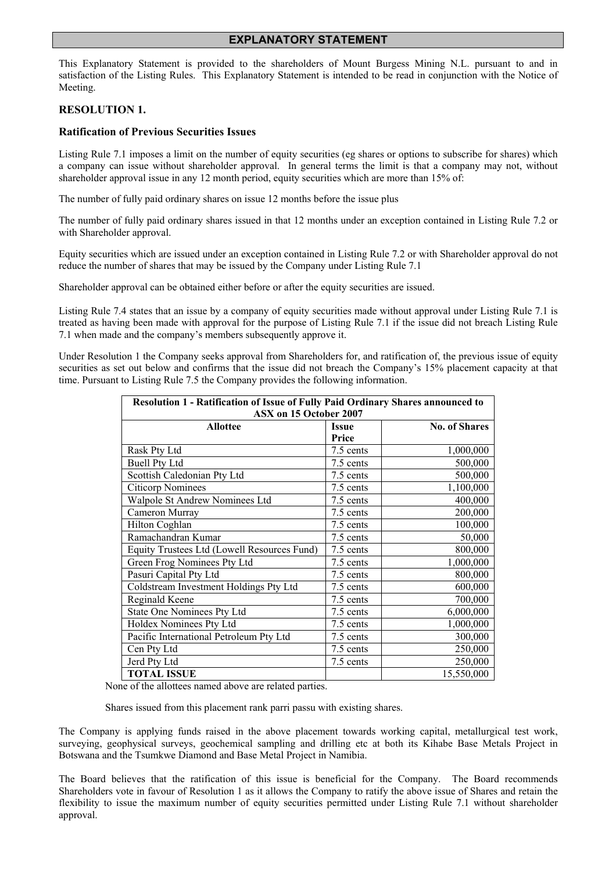#### **EXPLANATORY STATEMENT**

This Explanatory Statement is provided to the shareholders of Mount Burgess Mining N.L. pursuant to and in satisfaction of the Listing Rules. This Explanatory Statement is intended to be read in conjunction with the Notice of Meeting.

#### **RESOLUTION 1.**

### **Ratification of Previous Securities Issues**

Listing Rule 7.1 imposes a limit on the number of equity securities (eg shares or options to subscribe for shares) which a company can issue without shareholder approval. In general terms the limit is that a company may not, without shareholder approval issue in any 12 month period, equity securities which are more than 15% of:

The number of fully paid ordinary shares on issue 12 months before the issue plus

The number of fully paid ordinary shares issued in that 12 months under an exception contained in Listing Rule 7.2 or with Shareholder approval.

Equity securities which are issued under an exception contained in Listing Rule 7.2 or with Shareholder approval do not reduce the number of shares that may be issued by the Company under Listing Rule 7.1

Shareholder approval can be obtained either before or after the equity securities are issued.

Listing Rule 7.4 states that an issue by a company of equity securities made without approval under Listing Rule 7.1 is treated as having been made with approval for the purpose of Listing Rule 7.1 if the issue did not breach Listing Rule 7.1 when made and the company's members subsequently approve it.

Under Resolution 1 the Company seeks approval from Shareholders for, and ratification of, the previous issue of equity securities as set out below and confirms that the issue did not breach the Company's 15% placement capacity at that time. Pursuant to Listing Rule 7.5 the Company provides the following information.

| <b>Resolution 1 - Ratification of Issue of Fully Paid Ordinary Shares announced to</b> |              |                      |  |
|----------------------------------------------------------------------------------------|--------------|----------------------|--|
| ASX on 15 October 2007                                                                 |              |                      |  |
| <b>Allottee</b>                                                                        | <b>Issue</b> | <b>No. of Shares</b> |  |
|                                                                                        | Price        |                      |  |
| Rask Pty Ltd                                                                           | 7.5 cents    | 1,000,000            |  |
| <b>Buell Pty Ltd</b>                                                                   | 7.5 cents    | 500,000              |  |
| Scottish Caledonian Pty Ltd                                                            | 7.5 cents    | 500,000              |  |
| <b>Citicorp Nominees</b>                                                               | 7.5 cents    | 1,100,000            |  |
| Walpole St Andrew Nominees Ltd                                                         | 7.5 cents    | 400,000              |  |
| Cameron Murray                                                                         | 7.5 cents    | 200,000              |  |
| Hilton Coghlan                                                                         | 7.5 cents    | 100,000              |  |
| Ramachandran Kumar                                                                     | 7.5 cents    | 50,000               |  |
| Equity Trustees Ltd (Lowell Resources Fund)                                            | 7.5 cents    | 800,000              |  |
| Green Frog Nominees Pty Ltd                                                            | 7.5 cents    | 1,000,000            |  |
| Pasuri Capital Pty Ltd                                                                 | 7.5 cents    | 800,000              |  |
| Coldstream Investment Holdings Pty Ltd                                                 | 7.5 cents    | 600,000              |  |
| Reginald Keene                                                                         | 7.5 cents    | 700,000              |  |
| State One Nominees Pty Ltd                                                             | 7.5 cents    | 6,000,000            |  |
| Holdex Nominees Pty Ltd                                                                | 7.5 cents    | 1,000,000            |  |
| Pacific International Petroleum Pty Ltd                                                | 7.5 cents    | 300,000              |  |
| Cen Pty Ltd                                                                            | 7.5 cents    | 250,000              |  |
| Jerd Pty Ltd                                                                           | 7.5 cents    | 250,000              |  |
| <b>TOTAL ISSUE</b>                                                                     |              | 15,550,000           |  |

None of the allottees named above are related parties.

Shares issued from this placement rank parri passu with existing shares.

The Company is applying funds raised in the above placement towards working capital, metallurgical test work, surveying, geophysical surveys, geochemical sampling and drilling etc at both its Kihabe Base Metals Project in Botswana and the Tsumkwe Diamond and Base Metal Project in Namibia.

The Board believes that the ratification of this issue is beneficial for the Company. The Board recommends Shareholders vote in favour of Resolution 1 as it allows the Company to ratify the above issue of Shares and retain the flexibility to issue the maximum number of equity securities permitted under Listing Rule 7.1 without shareholder approval.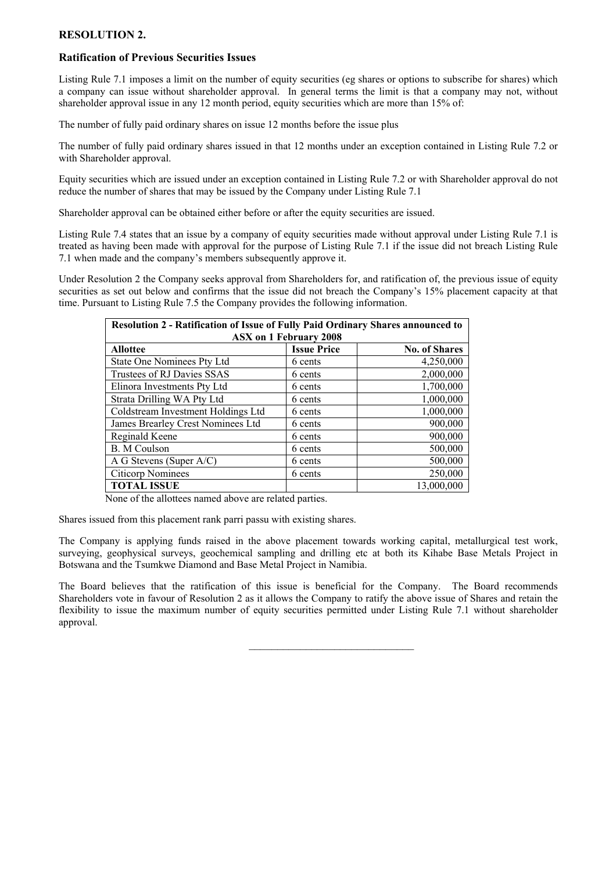#### **RESOLUTION 2.**

#### **Ratification of Previous Securities Issues**

Listing Rule 7.1 imposes a limit on the number of equity securities (eg shares or options to subscribe for shares) which a company can issue without shareholder approval. In general terms the limit is that a company may not, without shareholder approval issue in any 12 month period, equity securities which are more than 15% of:

The number of fully paid ordinary shares on issue 12 months before the issue plus

The number of fully paid ordinary shares issued in that 12 months under an exception contained in Listing Rule 7.2 or with Shareholder approval.

Equity securities which are issued under an exception contained in Listing Rule 7.2 or with Shareholder approval do not reduce the number of shares that may be issued by the Company under Listing Rule 7.1

Shareholder approval can be obtained either before or after the equity securities are issued.

Listing Rule 7.4 states that an issue by a company of equity securities made without approval under Listing Rule 7.1 is treated as having been made with approval for the purpose of Listing Rule 7.1 if the issue did not breach Listing Rule 7.1 when made and the company's members subsequently approve it.

Under Resolution 2 the Company seeks approval from Shareholders for, and ratification of, the previous issue of equity securities as set out below and confirms that the issue did not breach the Company's 15% placement capacity at that time. Pursuant to Listing Rule 7.5 the Company provides the following information.

| Resolution 2 - Ratification of Issue of Fully Paid Ordinary Shares announced to |                    |                      |  |  |
|---------------------------------------------------------------------------------|--------------------|----------------------|--|--|
| <b>ASX on 1 February 2008</b>                                                   |                    |                      |  |  |
| <b>Allottee</b>                                                                 | <b>Issue Price</b> | <b>No. of Shares</b> |  |  |
| State One Nominees Pty Ltd                                                      | 6 cents            | 4,250,000            |  |  |
| Trustees of RJ Davies SSAS                                                      | 6 cents            | 2,000,000            |  |  |
| Elinora Investments Pty Ltd                                                     | 6 cents            | 1,700,000            |  |  |
| Strata Drilling WA Pty Ltd                                                      | 6 cents            | 1,000,000            |  |  |
| Coldstream Investment Holdings Ltd                                              | 6 cents            | 1,000,000            |  |  |
| James Brearley Crest Nominees Ltd                                               | 6 cents            | 900,000              |  |  |
| Reginald Keene                                                                  | 6 cents            | 900,000              |  |  |
| <b>B.</b> M Coulson                                                             | 6 cents            | 500,000              |  |  |
| A G Stevens (Super A/C)                                                         | 6 cents            | 500,000              |  |  |
| <b>Citicorp Nominees</b>                                                        | 6 cents            | 250,000              |  |  |
| <b>TOTAL ISSUE</b>                                                              |                    | 13,000,000           |  |  |

None of the allottees named above are related parties.

Shares issued from this placement rank parri passu with existing shares.

The Company is applying funds raised in the above placement towards working capital, metallurgical test work, surveying, geophysical surveys, geochemical sampling and drilling etc at both its Kihabe Base Metals Project in Botswana and the Tsumkwe Diamond and Base Metal Project in Namibia.

The Board believes that the ratification of this issue is beneficial for the Company. The Board recommends Shareholders vote in favour of Resolution 2 as it allows the Company to ratify the above issue of Shares and retain the flexibility to issue the maximum number of equity securities permitted under Listing Rule 7.1 without shareholder approval.

 $\mathcal{L}_\text{max}$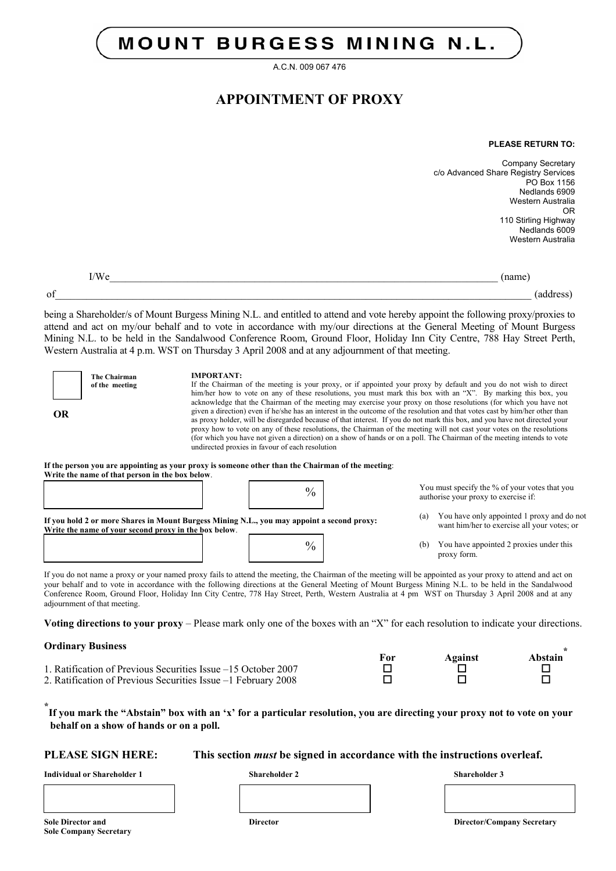# **MOUNT BURGESS MINING N.L.**

A.C.N. 009 067 476

# **APPOINTMENT OF PROXY**

#### **PLEASE RETURN TO:**

Company Secretary c/o Advanced Share Registry Services PO Box 1156 Nedlands 6909 Western Australia OR 110 Stirling Highway Nedlands 6009 Western Australia

 $I/We$  (name) of the contract of the contract of the contract of the contract of the contract of the contract of the contract of the contract of the contract of the contract of the contract of the contract of the contract of the contrac

being a Shareholder/s of Mount Burgess Mining N.L. and entitled to attend and vote hereby appoint the following proxy/proxies to attend and act on my/our behalf and to vote in accordance with my/our directions at the General Meeting of Mount Burgess Mining N.L. to be held in the Sandalwood Conference Room, Ground Floor, Holiday Inn City Centre, 788 Hay Street Perth, Western Australia at 4 p.m. WST on Thursday 3 April 2008 and at any adjournment of that meeting.

| <b>The Chairman</b><br>of the meeting<br>OR<br>If the person you are appointing as your proxy is someone other than the Chairman of the meeting:<br>Write the name of that person in the box below. | <b>IMPORTANT:</b><br>undirected proxies in favour of each resolution |               |     | If the Chairman of the meeting is your proxy, or if appointed your proxy by default and you do not wish to direct<br>him/her how to vote on any of these resolutions, you must mark this box with an "X". By marking this box, you<br>acknowledge that the Chairman of the meeting may exercise your proxy on those resolutions (for which you have not<br>given a direction) even if he/she has an interest in the outcome of the resolution and that votes cast by him/her other than<br>as proxy holder, will be disregarded because of that interest. If you do not mark this box, and you have not directed your<br>proxy how to vote on any of these resolutions, the Chairman of the meeting will not cast your votes on the resolutions<br>(for which you have not given a direction) on a show of hands or on a poll. The Chairman of the meeting intends to vote |
|-----------------------------------------------------------------------------------------------------------------------------------------------------------------------------------------------------|----------------------------------------------------------------------|---------------|-----|----------------------------------------------------------------------------------------------------------------------------------------------------------------------------------------------------------------------------------------------------------------------------------------------------------------------------------------------------------------------------------------------------------------------------------------------------------------------------------------------------------------------------------------------------------------------------------------------------------------------------------------------------------------------------------------------------------------------------------------------------------------------------------------------------------------------------------------------------------------------------|
|                                                                                                                                                                                                     |                                                                      | $\frac{0}{0}$ |     | You must specify the % of your votes that you<br>authorise your proxy to exercise if:                                                                                                                                                                                                                                                                                                                                                                                                                                                                                                                                                                                                                                                                                                                                                                                      |
| If you hold 2 or more Shares in Mount Burgess Mining N.L., you may appoint a second proxy:<br>Write the name of your second proxy in the box below.                                                 |                                                                      |               | (a) | You have only appointed 1 proxy and do not<br>want him/her to exercise all your votes; or                                                                                                                                                                                                                                                                                                                                                                                                                                                                                                                                                                                                                                                                                                                                                                                  |
|                                                                                                                                                                                                     |                                                                      | $\%$          | (b) | You have appointed 2 proxies under this<br>proxy form.                                                                                                                                                                                                                                                                                                                                                                                                                                                                                                                                                                                                                                                                                                                                                                                                                     |

If you do not name a proxy or your named proxy fails to attend the meeting, the Chairman of the meeting will be appointed as your proxy to attend and act on your behalf and to vote in accordance with the following directions at the General Meeting of Mount Burgess Mining N.L. to be held in the Sandalwood Conference Room, Ground Floor, Holiday Inn City Centre, 778 Hay Street, Perth, Western Australia at 4 pm WST on Thursday 3 April 2008 and at any adjournment of that meeting.

**Voting directions to your proxy** – Please mark only one of the boxes with an "X" for each resolution to indicate your directions.

**Ordinary Business** 

|                                                               | For | Against | Abstain |
|---------------------------------------------------------------|-----|---------|---------|
| 1. Ratification of Previous Securities Issue –15 October 2007 |     |         |         |
| 2. Ratification of Previous Securities Issue –1 February 2008 |     |         |         |

**\* If you mark the "Abstain" box with an 'x' for a particular resolution, you are directing your proxy not to vote on your behalf on a show of hands or on a poll.** 

**PLEASE SIGN HERE: This section** *must* **be signed in accordance with the instructions overleaf.**

**Individual or Shareholder 1 Shareholder 2 Shareholder 3** 

**Sole Company Secretary** 

**Sole Director and Director Director Company Secretary Company Secretary Company Secretary Properties and Director**